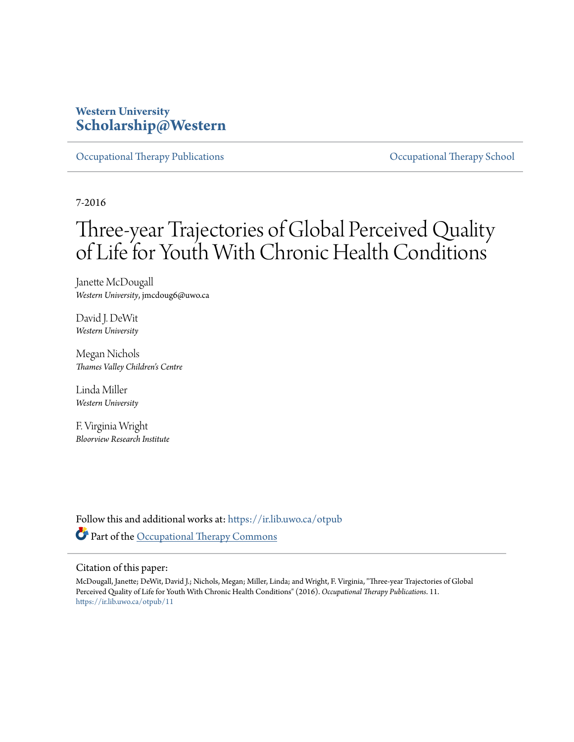# **Western University [Scholarship@Western](https://ir.lib.uwo.ca?utm_source=ir.lib.uwo.ca%2Fotpub%2F11&utm_medium=PDF&utm_campaign=PDFCoverPages)**

[Occupational Therapy Publications](https://ir.lib.uwo.ca/otpub?utm_source=ir.lib.uwo.ca%2Fotpub%2F11&utm_medium=PDF&utm_campaign=PDFCoverPages) [Occupational Therapy School](https://ir.lib.uwo.ca/ot?utm_source=ir.lib.uwo.ca%2Fotpub%2F11&utm_medium=PDF&utm_campaign=PDFCoverPages)

7-2016

# Three-year Trajectories of Global Perceived Quality of Life for Youth With Chronic Health Conditions

Janette McDougall *Western University*, jmcdoug6@uwo.ca

David J. DeWit *Western University*

Megan Nichols *Thames Valley Children's Centre*

Linda Miller *Western University*

F. Virginia Wright *Bloorview Research Institute*

Follow this and additional works at: [https://ir.lib.uwo.ca/otpub](https://ir.lib.uwo.ca/otpub?utm_source=ir.lib.uwo.ca%2Fotpub%2F11&utm_medium=PDF&utm_campaign=PDFCoverPages) Part of the [Occupational Therapy Commons](http://network.bepress.com/hgg/discipline/752?utm_source=ir.lib.uwo.ca%2Fotpub%2F11&utm_medium=PDF&utm_campaign=PDFCoverPages)

# Citation of this paper:

McDougall, Janette; DeWit, David J.; Nichols, Megan; Miller, Linda; and Wright, F. Virginia, "Three-year Trajectories of Global Perceived Quality of Life for Youth With Chronic Health Conditions" (2016). *Occupational Therapy Publications*. 11. [https://ir.lib.uwo.ca/otpub/11](https://ir.lib.uwo.ca/otpub/11?utm_source=ir.lib.uwo.ca%2Fotpub%2F11&utm_medium=PDF&utm_campaign=PDFCoverPages)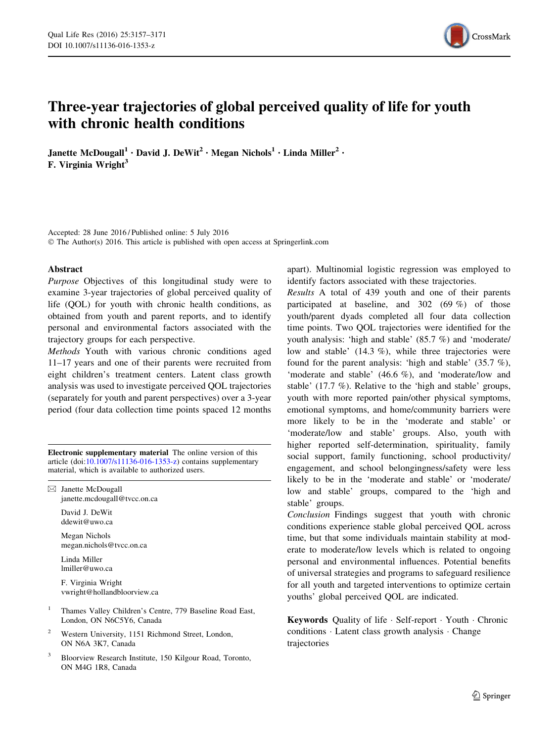

# Three-year trajectories of global perceived quality of life for youth with chronic health conditions

Janette McDougall<sup>1</sup> · David J. DeWit<sup>2</sup> · Megan Nichols<sup>1</sup> · Linda Miller<sup>2</sup> · F. Virginia Wright $3$ 

Accepted: 28 June 2016 / Published online: 5 July 2016 © The Author(s) 2016. This article is published with open access at Springerlink.com

# Abstract

Purpose Objectives of this longitudinal study were to examine 3-year trajectories of global perceived quality of life (QOL) for youth with chronic health conditions, as obtained from youth and parent reports, and to identify personal and environmental factors associated with the trajectory groups for each perspective.

Methods Youth with various chronic conditions aged 11–17 years and one of their parents were recruited from eight children's treatment centers. Latent class growth analysis was used to investigate perceived QOL trajectories (separately for youth and parent perspectives) over a 3-year period (four data collection time points spaced 12 months

Electronic supplementary material The online version of this article (doi:[10.1007/s11136-016-1353-z](http://dx.doi.org/10.1007/s11136-016-1353-z)) contains supplementary material, which is available to authorized users.

 $\boxtimes$  Janette McDougall janette.mcdougall@tvcc.on.ca David J. DeWit

ddewit@uwo.ca

Megan Nichols megan.nichols@tvcc.on.ca

Linda Miller lmiller@uwo.ca

F. Virginia Wright vwright@hollandbloorview.ca

- <sup>1</sup> Thames Valley Children's Centre, 779 Baseline Road East, London, ON N6C5Y6, Canada
- Western University, 1151 Richmond Street, London, ON N6A 3K7, Canada
- <sup>3</sup> Bloorview Research Institute, 150 Kilgour Road, Toronto, ON M4G 1R8, Canada

apart). Multinomial logistic regression was employed to identify factors associated with these trajectories.

Results A total of 439 youth and one of their parents participated at baseline, and 302 (69 %) of those youth/parent dyads completed all four data collection time points. Two QOL trajectories were identified for the youth analysis: 'high and stable' (85.7 %) and 'moderate/ low and stable' (14.3 %), while three trajectories were found for the parent analysis: 'high and stable' (35.7 %), 'moderate and stable' (46.6 %), and 'moderate/low and stable' (17.7 %). Relative to the 'high and stable' groups, youth with more reported pain/other physical symptoms, emotional symptoms, and home/community barriers were more likely to be in the 'moderate and stable' or 'moderate/low and stable' groups. Also, youth with higher reported self-determination, spirituality, family social support, family functioning, school productivity/ engagement, and school belongingness/safety were less likely to be in the 'moderate and stable' or 'moderate/ low and stable' groups, compared to the 'high and stable' groups.

Conclusion Findings suggest that youth with chronic conditions experience stable global perceived QOL across time, but that some individuals maintain stability at moderate to moderate/low levels which is related to ongoing personal and environmental influences. Potential benefits of universal strategies and programs to safeguard resilience for all youth and targeted interventions to optimize certain youths' global perceived QOL are indicated.

Keywords Quality of life · Self-report · Youth · Chronic conditions - Latent class growth analysis - Change trajectories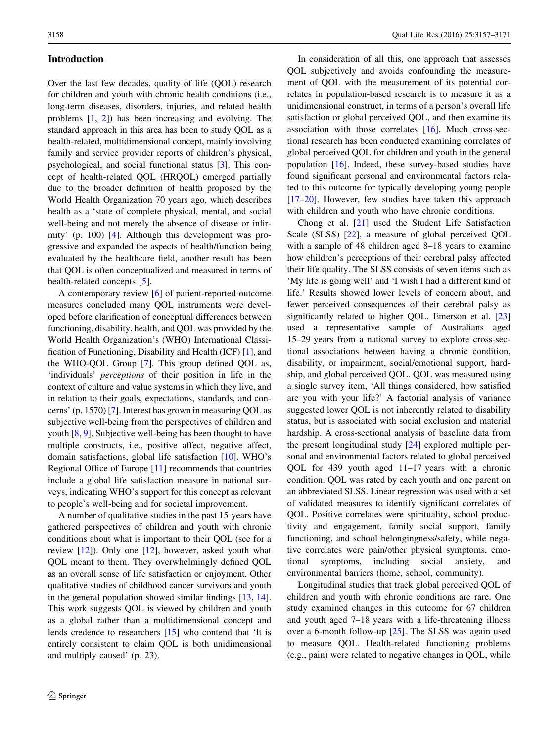# Introduction

Over the last few decades, quality of life (QOL) research for children and youth with chronic health conditions (i.e., long-term diseases, disorders, injuries, and related health problems [\[1](#page-13-0), [2](#page-13-0)]) has been increasing and evolving. The standard approach in this area has been to study QOL as a health-related, multidimensional concept, mainly involving family and service provider reports of children's physical, psychological, and social functional status [\[3](#page-13-0)]. This concept of health-related QOL (HRQOL) emerged partially due to the broader definition of health proposed by the World Health Organization 70 years ago, which describes health as a 'state of complete physical, mental, and social well-being and not merely the absence of disease or infirmity' (p. 100) [\[4](#page-13-0)]. Although this development was progressive and expanded the aspects of health/function being evaluated by the healthcare field, another result has been that QOL is often conceptualized and measured in terms of health-related concepts [\[5](#page-13-0)].

A contemporary review [[6\]](#page-13-0) of patient-reported outcome measures concluded many QOL instruments were developed before clarification of conceptual differences between functioning, disability, health, and QOL was provided by the World Health Organization's (WHO) International Classification of Functioning, Disability and Health (ICF) [[1\]](#page-13-0), and the WHO-QOL Group [[7\]](#page-13-0). This group defined QOL as, 'individuals' perceptions of their position in life in the context of culture and value systems in which they live, and in relation to their goals, expectations, standards, and concerns' (p. 1570) [\[7](#page-13-0)]. Interest has grown in measuring QOL as subjective well-being from the perspectives of children and youth [\[8](#page-13-0), [9\]](#page-13-0). Subjective well-being has been thought to have multiple constructs, i.e., positive affect, negative affect, domain satisfactions, global life satisfaction [[10\]](#page-13-0). WHO's Regional Office of Europe [\[11](#page-13-0)] recommends that countries include a global life satisfaction measure in national surveys, indicating WHO's support for this concept as relevant to people's well-being and for societal improvement.

A number of qualitative studies in the past 15 years have gathered perspectives of children and youth with chronic conditions about what is important to their QOL (see for a review  $[12]$  $[12]$ ). Only one  $[12]$ , however, asked youth what QOL meant to them. They overwhelmingly defined QOL as an overall sense of life satisfaction or enjoyment. Other qualitative studies of childhood cancer survivors and youth in the general population showed similar findings [[13,](#page-13-0) [14](#page-13-0)]. This work suggests QOL is viewed by children and youth as a global rather than a multidimensional concept and lends credence to researchers [\[15](#page-13-0)] who contend that 'It is entirely consistent to claim QOL is both unidimensional and multiply caused' (p. 23).

In consideration of all this, one approach that assesses QOL subjectively and avoids confounding the measurement of QOL with the measurement of its potential correlates in population-based research is to measure it as a unidimensional construct, in terms of a person's overall life satisfaction or global perceived QOL, and then examine its association with those correlates [\[16](#page-13-0)]. Much cross-sectional research has been conducted examining correlates of global perceived QOL for children and youth in the general population [[16\]](#page-13-0). Indeed, these survey-based studies have found significant personal and environmental factors related to this outcome for typically developing young people [\[17–20](#page-13-0)]. However, few studies have taken this approach with children and youth who have chronic conditions.

Chong et al. [[21\]](#page-13-0) used the Student Life Satisfaction Scale (SLSS) [[22\]](#page-13-0), a measure of global perceived QOL with a sample of 48 children aged 8–18 years to examine how children's perceptions of their cerebral palsy affected their life quality. The SLSS consists of seven items such as 'My life is going well' and 'I wish I had a different kind of life.' Results showed lower levels of concern about, and fewer perceived consequences of their cerebral palsy as significantly related to higher QOL. Emerson et al. [[23\]](#page-13-0) used a representative sample of Australians aged 15–29 years from a national survey to explore cross-sectional associations between having a chronic condition, disability, or impairment, social/emotional support, hardship, and global perceived QOL. QOL was measured using a single survey item, 'All things considered, how satisfied are you with your life?' A factorial analysis of variance suggested lower QOL is not inherently related to disability status, but is associated with social exclusion and material hardship. A cross-sectional analysis of baseline data from the present longitudinal study [\[24](#page-13-0)] explored multiple personal and environmental factors related to global perceived QOL for 439 youth aged 11–17 years with a chronic condition. QOL was rated by each youth and one parent on an abbreviated SLSS. Linear regression was used with a set of validated measures to identify significant correlates of QOL. Positive correlates were spirituality, school productivity and engagement, family social support, family functioning, and school belongingness/safety, while negative correlates were pain/other physical symptoms, emotional symptoms, including social anxiety, and environmental barriers (home, school, community).

Longitudinal studies that track global perceived QOL of children and youth with chronic conditions are rare. One study examined changes in this outcome for 67 children and youth aged 7–18 years with a life-threatening illness over a 6-month follow-up [\[25](#page-13-0)]. The SLSS was again used to measure QOL. Health-related functioning problems (e.g., pain) were related to negative changes in QOL, while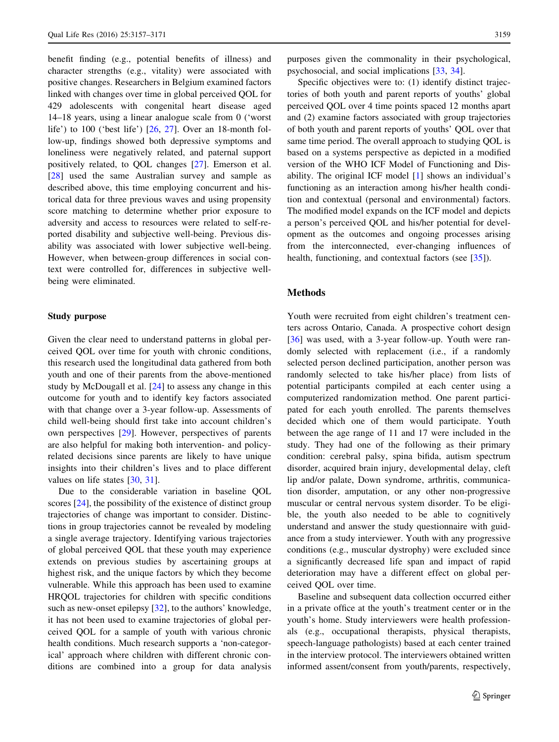benefit finding (e.g., potential benefits of illness) and character strengths (e.g., vitality) were associated with positive changes. Researchers in Belgium examined factors linked with changes over time in global perceived QOL for 429 adolescents with congenital heart disease aged 14–18 years, using a linear analogue scale from 0 ('worst life') to 100 ('best life') [\[26](#page-13-0), [27](#page-13-0)]. Over an 18-month follow-up, findings showed both depressive symptoms and loneliness were negatively related, and paternal support positively related, to QOL changes [\[27](#page-13-0)]. Emerson et al. [\[28](#page-13-0)] used the same Australian survey and sample as described above, this time employing concurrent and historical data for three previous waves and using propensity score matching to determine whether prior exposure to adversity and access to resources were related to self-reported disability and subjective well-being. Previous disability was associated with lower subjective well-being. However, when between-group differences in social context were controlled for, differences in subjective wellbeing were eliminated.

# Study purpose

Given the clear need to understand patterns in global perceived QOL over time for youth with chronic conditions, this research used the longitudinal data gathered from both youth and one of their parents from the above-mentioned study by McDougall et al. [\[24](#page-13-0)] to assess any change in this outcome for youth and to identify key factors associated with that change over a 3-year follow-up. Assessments of child well-being should first take into account children's own perspectives [[29\]](#page-13-0). However, perspectives of parents are also helpful for making both intervention- and policyrelated decisions since parents are likely to have unique insights into their children's lives and to place different values on life states [[30,](#page-13-0) [31\]](#page-13-0).

Due to the considerable variation in baseline QOL scores [[24\]](#page-13-0), the possibility of the existence of distinct group trajectories of change was important to consider. Distinctions in group trajectories cannot be revealed by modeling a single average trajectory. Identifying various trajectories of global perceived QOL that these youth may experience extends on previous studies by ascertaining groups at highest risk, and the unique factors by which they become vulnerable. While this approach has been used to examine HRQOL trajectories for children with specific conditions such as new-onset epilepsy [[32\]](#page-13-0), to the authors' knowledge, it has not been used to examine trajectories of global perceived QOL for a sample of youth with various chronic health conditions. Much research supports a 'non-categorical' approach where children with different chronic conditions are combined into a group for data analysis purposes given the commonality in their psychological, psychosocial, and social implications [\[33](#page-13-0), [34](#page-13-0)].

Specific objectives were to: (1) identify distinct trajectories of both youth and parent reports of youths' global perceived QOL over 4 time points spaced 12 months apart and (2) examine factors associated with group trajectories of both youth and parent reports of youths' QOL over that same time period. The overall approach to studying QOL is based on a systems perspective as depicted in a modified version of the WHO ICF Model of Functioning and Disability. The original ICF model [[1\]](#page-13-0) shows an individual's functioning as an interaction among his/her health condition and contextual (personal and environmental) factors. The modified model expands on the ICF model and depicts a person's perceived QOL and his/her potential for development as the outcomes and ongoing processes arising from the interconnected, ever-changing influences of health, functioning, and contextual factors (see [[35\]](#page-13-0)).

# Methods

Youth were recruited from eight children's treatment centers across Ontario, Canada. A prospective cohort design [\[36](#page-14-0)] was used, with a 3-year follow-up. Youth were randomly selected with replacement (i.e., if a randomly selected person declined participation, another person was randomly selected to take his/her place) from lists of potential participants compiled at each center using a computerized randomization method. One parent participated for each youth enrolled. The parents themselves decided which one of them would participate. Youth between the age range of 11 and 17 were included in the study. They had one of the following as their primary condition: cerebral palsy, spina bifida, autism spectrum disorder, acquired brain injury, developmental delay, cleft lip and/or palate, Down syndrome, arthritis, communication disorder, amputation, or any other non-progressive muscular or central nervous system disorder. To be eligible, the youth also needed to be able to cognitively understand and answer the study questionnaire with guidance from a study interviewer. Youth with any progressive conditions (e.g., muscular dystrophy) were excluded since a significantly decreased life span and impact of rapid deterioration may have a different effect on global perceived QOL over time.

Baseline and subsequent data collection occurred either in a private office at the youth's treatment center or in the youth's home. Study interviewers were health professionals (e.g., occupational therapists, physical therapists, speech-language pathologists) based at each center trained in the interview protocol. The interviewers obtained written informed assent/consent from youth/parents, respectively,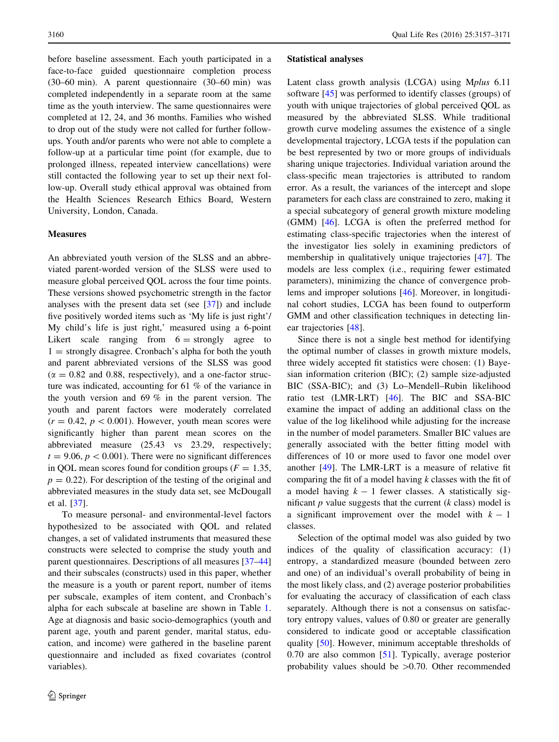before baseline assessment. Each youth participated in a face-to-face guided questionnaire completion process (30–60 min). A parent questionnaire (30–60 min) was completed independently in a separate room at the same time as the youth interview. The same questionnaires were completed at 12, 24, and 36 months. Families who wished to drop out of the study were not called for further followups. Youth and/or parents who were not able to complete a follow-up at a particular time point (for example, due to prolonged illness, repeated interview cancellations) were still contacted the following year to set up their next follow-up. Overall study ethical approval was obtained from the Health Sciences Research Ethics Board, Western University, London, Canada.

## Measures

An abbreviated youth version of the SLSS and an abbreviated parent-worded version of the SLSS were used to measure global perceived QOL across the four time points. These versions showed psychometric strength in the factor analyses with the present data set (see [\[37](#page-14-0)]) and include five positively worded items such as 'My life is just right'/ My child's life is just right,' measured using a 6-point Likert scale ranging from  $6 =$  strongly agree to  $1 =$  strongly disagree. Cronbach's alpha for both the youth and parent abbreviated versions of the SLSS was good  $(\alpha = 0.82$  and 0.88, respectively), and a one-factor structure was indicated, accounting for 61 % of the variance in the youth version and 69 % in the parent version. The youth and parent factors were moderately correlated  $(r = 0.42, p < 0.001)$ . However, youth mean scores were significantly higher than parent mean scores on the abbreviated measure (25.43 vs 23.29, respectively;  $t = 9.06$ ,  $p < 0.001$ ). There were no significant differences in QOL mean scores found for condition groups ( $F = 1.35$ ,  $p = 0.22$ ). For description of the testing of the original and abbreviated measures in the study data set, see McDougall et al. [\[37](#page-14-0)].

To measure personal- and environmental-level factors hypothesized to be associated with QOL and related changes, a set of validated instruments that measured these constructs were selected to comprise the study youth and parent questionnaires. Descriptions of all measures [[37–44\]](#page-14-0) and their subscales (constructs) used in this paper, whether the measure is a youth or parent report, number of items per subscale, examples of item content, and Cronbach's alpha for each subscale at baseline are shown in Table [1.](#page-5-0) Age at diagnosis and basic socio-demographics (youth and parent age, youth and parent gender, marital status, education, and income) were gathered in the baseline parent questionnaire and included as fixed covariates (control variables).

#### Statistical analyses

Latent class growth analysis (LCGA) using Mplus 6.11 software [[45](#page-14-0)] was performed to identify classes (groups) of youth with unique trajectories of global perceived QOL as measured by the abbreviated SLSS. While traditional growth curve modeling assumes the existence of a single developmental trajectory, LCGA tests if the population can be best represented by two or more groups of individuals sharing unique trajectories. Individual variation around the class-specific mean trajectories is attributed to random error. As a result, the variances of the intercept and slope parameters for each class are constrained to zero, making it a special subcategory of general growth mixture modeling (GMM) [\[46](#page-14-0)]. LCGA is often the preferred method for estimating class-specific trajectories when the interest of the investigator lies solely in examining predictors of membership in qualitatively unique trajectories [[47\]](#page-14-0). The models are less complex (i.e., requiring fewer estimated parameters), minimizing the chance of convergence problems and improper solutions [\[46](#page-14-0)]. Moreover, in longitudinal cohort studies, LCGA has been found to outperform GMM and other classification techniques in detecting linear trajectories [[48\]](#page-14-0).

Since there is not a single best method for identifying the optimal number of classes in growth mixture models, three widely accepted fit statistics were chosen: (1) Bayesian information criterion (BIC); (2) sample size-adjusted BIC (SSA-BIC); and (3) Lo–Mendell–Rubin likelihood ratio test (LMR-LRT) [\[46](#page-14-0)]. The BIC and SSA-BIC examine the impact of adding an additional class on the value of the log likelihood while adjusting for the increase in the number of model parameters. Smaller BIC values are generally associated with the better fitting model with differences of 10 or more used to favor one model over another [[49\]](#page-14-0). The LMR-LRT is a measure of relative fit comparing the fit of a model having  $k$  classes with the fit of a model having  $k - 1$  fewer classes. A statistically significant  $p$  value suggests that the current  $(k$  class) model is a significant improvement over the model with  $k - 1$ classes.

Selection of the optimal model was also guided by two indices of the quality of classification accuracy: (1) entropy, a standardized measure (bounded between zero and one) of an individual's overall probability of being in the most likely class, and (2) average posterior probabilities for evaluating the accuracy of classification of each class separately. Although there is not a consensus on satisfactory entropy values, values of 0.80 or greater are generally considered to indicate good or acceptable classification quality [[50\]](#page-14-0). However, minimum acceptable thresholds of 0.70 are also common [[51\]](#page-14-0). Typically, average posterior probability values should be  $>0.70$ . Other recommended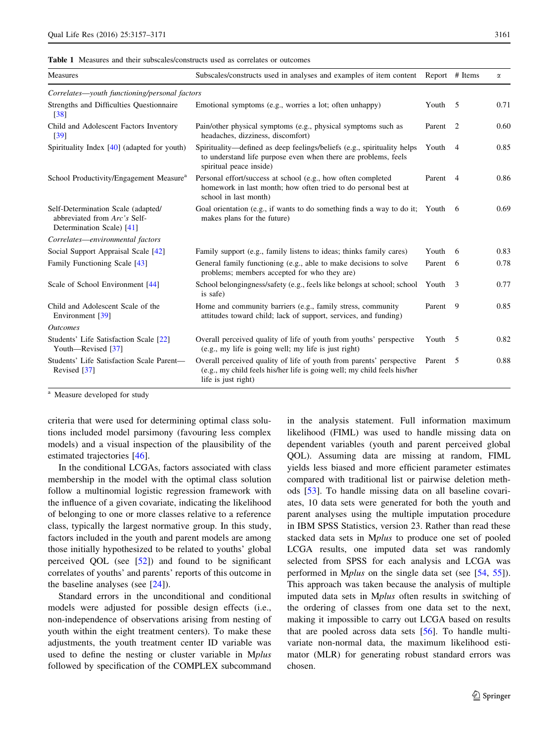<span id="page-5-0"></span>

| <b>Table 1</b> Measures and their subscales/constructs used as correlates or outcomes |  |  |
|---------------------------------------------------------------------------------------|--|--|
|---------------------------------------------------------------------------------------|--|--|

| Measures                                                                                        | Subscales/constructs used in analyses and examples of item content Report # Items                                                                                       |          |                | $\alpha$ |
|-------------------------------------------------------------------------------------------------|-------------------------------------------------------------------------------------------------------------------------------------------------------------------------|----------|----------------|----------|
|                                                                                                 |                                                                                                                                                                         |          |                |          |
| Correlates—youth functioning/personal factors                                                   |                                                                                                                                                                         |          |                |          |
| Strengths and Difficulties Questionnaire<br>[38]                                                | Emotional symptoms (e.g., worries a lot; often unhappy)                                                                                                                 | Youth    | - 5            | 0.71     |
| Child and Adolescent Factors Inventory<br>[39]                                                  | Pain/other physical symptoms (e.g., physical symptoms such as<br>headaches, dizziness, discomfort)                                                                      | Parent   | $\overline{2}$ | 0.60     |
| Spirituality Index $[40]$ (adapted for youth)                                                   | Spirituality—defined as deep feelings/beliefs (e.g., spirituality helps<br>to understand life purpose even when there are problems, feels<br>spiritual peace inside)    | Youth 4  |                | 0.85     |
| School Productivity/Engagement Measure <sup>a</sup>                                             | Personal effort/success at school (e.g., how often completed<br>homework in last month; how often tried to do personal best at<br>school in last month)                 | Parent 4 |                | 0.86     |
| Self-Determination Scale (adapted/<br>abbreviated from Arc's Self-<br>Determination Scale) [41] | Goal orientation (e.g., if wants to do something finds a way to do it; Youth 6<br>makes plans for the future)                                                           |          |                | 0.69     |
| Correlates-environmental factors                                                                |                                                                                                                                                                         |          |                |          |
| Social Support Appraisal Scale [42]                                                             | Family support (e.g., family listens to ideas; thinks family cares)                                                                                                     | Youth    | - 6            | 0.83     |
| Family Functioning Scale [43]                                                                   | General family functioning (e.g., able to make decisions to solve<br>problems; members accepted for who they are)                                                       | Parent 6 |                | 0.78     |
| Scale of School Environment [44]                                                                | School belongingness/safety (e.g., feels like belongs at school; school<br>is safe)                                                                                     | Youth    | 3              | 0.77     |
| Child and Adolescent Scale of the<br>Environment [39]                                           | Home and community barriers (e.g., family stress, community<br>attitudes toward child; lack of support, services, and funding)                                          | Parent   | - 9            | 0.85     |
| <b>Outcomes</b>                                                                                 |                                                                                                                                                                         |          |                |          |
| Students' Life Satisfaction Scale [22]<br>Youth—Revised [37]                                    | Overall perceived quality of life of youth from youths' perspective<br>(e.g., my life is going well; my life is just right)                                             | Youth    | - 5            | 0.82     |
| Students' Life Satisfaction Scale Parent-<br>Revised [37]                                       | Overall perceived quality of life of youth from parents' perspective<br>(e.g., my child feels his/her life is going well; my child feels his/her<br>life is just right) | Parent 5 |                | 0.88     |

<sup>a</sup> Measure developed for study

criteria that were used for determining optimal class solutions included model parsimony (favouring less complex models) and a visual inspection of the plausibility of the estimated trajectories [\[46](#page-14-0)].

In the conditional LCGAs, factors associated with class membership in the model with the optimal class solution follow a multinomial logistic regression framework with the influence of a given covariate, indicating the likelihood of belonging to one or more classes relative to a reference class, typically the largest normative group. In this study, factors included in the youth and parent models are among those initially hypothesized to be related to youths' global perceived QOL (see [\[52](#page-14-0)]) and found to be significant correlates of youths' and parents' reports of this outcome in the baseline analyses (see [[24\]](#page-13-0)).

Standard errors in the unconditional and conditional models were adjusted for possible design effects (i.e., non-independence of observations arising from nesting of youth within the eight treatment centers). To make these adjustments, the youth treatment center ID variable was used to define the nesting or cluster variable in Mplus followed by specification of the COMPLEX subcommand in the analysis statement. Full information maximum likelihood (FIML) was used to handle missing data on dependent variables (youth and parent perceived global QOL). Assuming data are missing at random, FIML yields less biased and more efficient parameter estimates compared with traditional list or pairwise deletion methods [[53](#page-14-0)]. To handle missing data on all baseline covariates, 10 data sets were generated for both the youth and parent analyses using the multiple imputation procedure in IBM SPSS Statistics, version 23. Rather than read these stacked data sets in Mplus to produce one set of pooled LCGA results, one imputed data set was randomly selected from SPSS for each analysis and LCGA was performed in Mplus on the single data set (see [[54,](#page-14-0) [55](#page-14-0)]). This approach was taken because the analysis of multiple imputed data sets in Mplus often results in switching of the ordering of classes from one data set to the next, making it impossible to carry out LCGA based on results that are pooled across data sets [[56\]](#page-14-0). To handle multivariate non-normal data, the maximum likelihood estimator (MLR) for generating robust standard errors was chosen.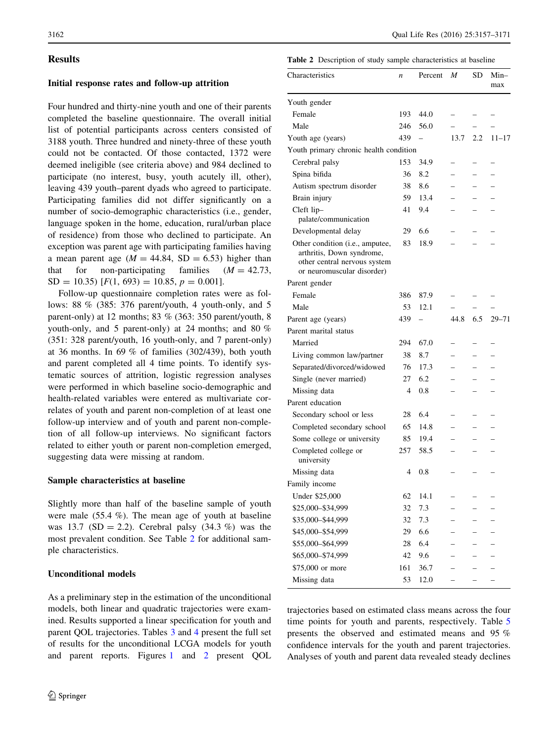# **Results**

#### Initial response rates and follow-up attrition

Four hundred and thirty-nine youth and one of their parents completed the baseline questionnaire. The overall initial list of potential participants across centers consisted of 3188 youth. Three hundred and ninety-three of these youth could not be contacted. Of those contacted, 1372 were deemed ineligible (see criteria above) and 984 declined to participate (no interest, busy, youth acutely ill, other), leaving 439 youth–parent dyads who agreed to participate. Participating families did not differ significantly on a number of socio-demographic characteristics (i.e., gender, language spoken in the home, education, rural/urban place of residence) from those who declined to participate. An exception was parent age with participating families having a mean parent age  $(M = 44.84, SD = 6.53)$  higher than that for non-participating families  $(M = 42.73,$  $SD = 10.35$  [ $F(1, 693) = 10.85$ ,  $p = 0.001$ ].

Follow-up questionnaire completion rates were as follows: 88 % (385: 376 parent/youth, 4 youth-only, and 5 parent-only) at 12 months; 83 % (363: 350 parent/youth, 8 youth-only, and 5 parent-only) at 24 months; and 80 % (351: 328 parent/youth, 16 youth-only, and 7 parent-only) at 36 months. In 69 % of families (302/439), both youth and parent completed all 4 time points. To identify systematic sources of attrition, logistic regression analyses were performed in which baseline socio-demographic and health-related variables were entered as multivariate correlates of youth and parent non-completion of at least one follow-up interview and of youth and parent non-completion of all follow-up interviews. No significant factors related to either youth or parent non-completion emerged, suggesting data were missing at random.

#### Sample characteristics at baseline

Slightly more than half of the baseline sample of youth were male (55.4 %). The mean age of youth at baseline was 13.7 (SD = 2.2). Cerebral palsy (34.3 %) was the most prevalent condition. See Table 2 for additional sample characteristics.

## Unconditional models

As a preliminary step in the estimation of the unconditional models, both linear and quadratic trajectories were examined. Results supported a linear specification for youth and parent QOL trajectories. Tables [3](#page-7-0) and [4](#page-8-0) present the full set of results for the unconditional LCGA models for youth and parent reports. Figures [1](#page-8-0) and [2](#page-8-0) present QOL

|  |  |  |  | Table 2 Description of study sample characteristics at baseline |  |  |
|--|--|--|--|-----------------------------------------------------------------|--|--|
|--|--|--|--|-----------------------------------------------------------------|--|--|

| Characteristics                                                                                                            | $\boldsymbol{n}$ | Percent        | M    | SD  | Min-<br>max |
|----------------------------------------------------------------------------------------------------------------------------|------------------|----------------|------|-----|-------------|
| Youth gender                                                                                                               |                  |                |      |     |             |
| Female                                                                                                                     | 193              | 44.0           |      |     |             |
| Male                                                                                                                       | 246              | 56.0           |      |     |             |
| Youth age (years)                                                                                                          | 439              | $\overline{ }$ | 13.7 | 2.2 | $11 - 17$   |
| Youth primary chronic health condition                                                                                     |                  |                |      |     |             |
| Cerebral palsy                                                                                                             | 153              | 34.9           |      |     |             |
| Spina bifida                                                                                                               | 36               | 8.2            |      |     |             |
| Autism spectrum disorder                                                                                                   | 38               | 8.6            |      |     |             |
| Brain injury                                                                                                               | 59               | 13.4           |      |     |             |
| Cleft lip-<br>palate/communication                                                                                         | 41               | 9.4            |      |     |             |
| Developmental delay                                                                                                        | 29               | 6.6            |      |     |             |
| Other condition (i.e., amputee,<br>arthritis, Down syndrome,<br>other central nervous system<br>or neuromuscular disorder) | 83               | 18.9           |      |     |             |
| Parent gender                                                                                                              |                  |                |      |     |             |
| Female                                                                                                                     | 386              | 87.9           |      |     |             |
| Male                                                                                                                       | 53               | 12.1           |      |     |             |
| Parent age (years)                                                                                                         | 439              |                | 44.8 | 6.5 | $29 - 71$   |
| Parent marital status                                                                                                      |                  |                |      |     |             |
| Married                                                                                                                    | 294              | 67.0           | -    |     |             |
| Living common law/partner                                                                                                  | 38               | 8.7            |      |     |             |
| Separated/divorced/widowed                                                                                                 | 76               | 17.3           |      |     |             |
| Single (never married)                                                                                                     | 27               | 6.2            |      |     |             |
| Missing data                                                                                                               | 4                | 0.8            |      | ▃   |             |
| Parent education                                                                                                           |                  |                |      |     |             |
| Secondary school or less                                                                                                   | 28               | 6.4            |      |     |             |
| Completed secondary school                                                                                                 | 65               | 14.8           |      |     |             |
| Some college or university                                                                                                 | 85               | 19.4           | -    | -   |             |
| Completed college or<br>university                                                                                         | 257              | 58.5           |      |     |             |
| Missing data                                                                                                               | 4                | 0.8            |      |     |             |
| Family income                                                                                                              |                  |                |      |     |             |
| Under \$25,000                                                                                                             | 62               | 14.1           |      |     |             |
| \$25,000-\$34,999                                                                                                          | 32               | 7.3            |      |     |             |
| \$35,000-\$44,999                                                                                                          | 32               | 7.3            |      |     |             |
| \$45,000-\$54,999                                                                                                          | 29               | 6.6            |      |     |             |
| \$55,000-\$64,999                                                                                                          | 28               | 6.4            |      |     |             |
| \$65,000-\$74,999                                                                                                          | 42               | 9.6            |      |     |             |
| \$75,000 or more                                                                                                           | 161              | 36.7           |      |     |             |
| Missing data                                                                                                               | 53               | 12.0           |      |     |             |

trajectories based on estimated class means across the four time points for youth and parents, respectively. Table [5](#page-9-0) presents the observed and estimated means and 95 % confidence intervals for the youth and parent trajectories. Analyses of youth and parent data revealed steady declines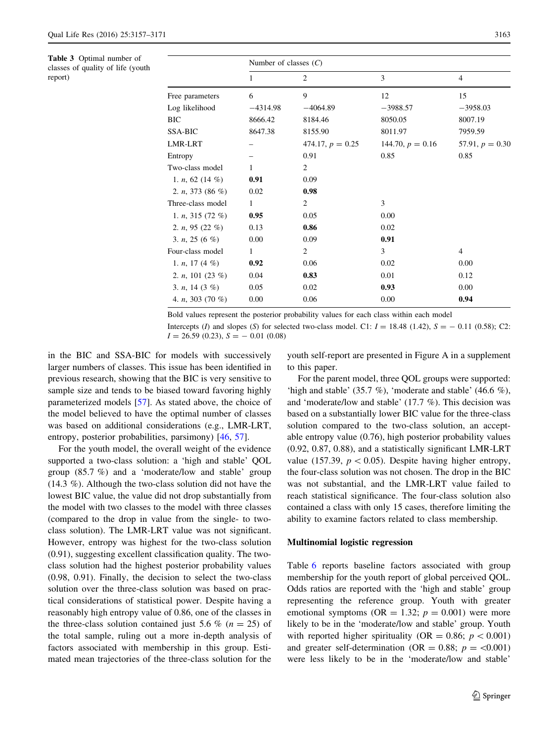<span id="page-7-0"></span>Table 3 Optimal number of classes of quality of life (youth report)

|                              | Number of classes $(C)$ |                    |                    |                   |  |  |  |
|------------------------------|-------------------------|--------------------|--------------------|-------------------|--|--|--|
|                              | 1                       | $\overline{2}$     | 3                  | $\overline{4}$    |  |  |  |
| Free parameters              | 6                       | 9                  | 12                 | 15                |  |  |  |
| Log likelihood               | $-4314.98$              | $-4064.89$         | $-3988.57$         | $-3958.03$        |  |  |  |
| BIC                          | 8666.42                 | 8184.46            | 8050.05            | 8007.19           |  |  |  |
| <b>SSA-BIC</b>               | 8647.38                 | 8155.90            | 8011.97            | 7959.59           |  |  |  |
| LMR-LRT                      |                         | 474.17, $p = 0.25$ | 144.70, $p = 0.16$ | 57.91, $p = 0.30$ |  |  |  |
| Entropy                      |                         | 0.91               | 0.85               | 0.85              |  |  |  |
| Two-class model              | 1                       | 2                  |                    |                   |  |  |  |
| 1. <i>n</i> , 62 (14 $%$ )   | 0.91                    | 0.09               |                    |                   |  |  |  |
| 2. <i>n</i> , 373 (86 $\%$ ) | 0.02                    | 0.98               |                    |                   |  |  |  |
| Three-class model            | $\mathbf{1}$            | 2                  | 3                  |                   |  |  |  |
| 1. <i>n</i> , 315 $(72 \%)$  | 0.95                    | 0.05               | 0.00               |                   |  |  |  |
| 2. n, 95 $(22 \%)$           | 0.13                    | 0.86               | 0.02               |                   |  |  |  |
| 3. <i>n</i> , 25 (6 $\%$ )   | 0.00                    | 0.09               | 0.91               |                   |  |  |  |
| Four-class model             | $\mathbf{1}$            | $\overline{c}$     | 3                  | $\overline{4}$    |  |  |  |
| 1. <i>n</i> , 17 $(4 \%)$    | 0.92                    | 0.06               | 0.02               | 0.00              |  |  |  |
| 2. <i>n</i> , 101 (23 $\%$ ) | 0.04                    | 0.83               | 0.01               | 0.12              |  |  |  |
| 3. <i>n</i> , 14 (3 $\%$ )   | 0.05                    | 0.02               | 0.93               | 0.00              |  |  |  |
| 4. <i>n</i> , 303 (70 $\%$ ) | 0.00                    | 0.06               | 0.00               | 0.94              |  |  |  |

Bold values represent the posterior probability values for each class within each model

Intercepts (I) and slopes (S) for selected two-class model. C1:  $I = 18.48$  (1.42),  $S = -0.11$  (0.58); C2:  $I = 26.59(0.23), S = -0.01(0.08)$ 

in the BIC and SSA-BIC for models with successively larger numbers of classes. This issue has been identified in previous research, showing that the BIC is very sensitive to sample size and tends to be biased toward favoring highly parameterized models [[57\]](#page-14-0). As stated above, the choice of the model believed to have the optimal number of classes was based on additional considerations (e.g., LMR-LRT, entropy, posterior probabilities, parsimony) [\[46](#page-14-0), [57](#page-14-0)].

For the youth model, the overall weight of the evidence supported a two-class solution: a 'high and stable' QOL group (85.7 %) and a 'moderate/low and stable' group (14.3 %). Although the two-class solution did not have the lowest BIC value, the value did not drop substantially from the model with two classes to the model with three classes (compared to the drop in value from the single- to twoclass solution). The LMR-LRT value was not significant. However, entropy was highest for the two-class solution (0.91), suggesting excellent classification quality. The twoclass solution had the highest posterior probability values (0.98, 0.91). Finally, the decision to select the two-class solution over the three-class solution was based on practical considerations of statistical power. Despite having a reasonably high entropy value of 0.86, one of the classes in the three-class solution contained just 5.6 % ( $n = 25$ ) of the total sample, ruling out a more in-depth analysis of factors associated with membership in this group. Estimated mean trajectories of the three-class solution for the youth self-report are presented in Figure A in a supplement to this paper.

For the parent model, three QOL groups were supported: 'high and stable' (35.7 %), 'moderate and stable' (46.6 %). and 'moderate/low and stable' (17.7 %). This decision was based on a substantially lower BIC value for the three-class solution compared to the two-class solution, an acceptable entropy value (0.76), high posterior probability values (0.92, 0.87, 0.88), and a statistically significant LMR-LRT value (157.39,  $p < 0.05$ ). Despite having higher entropy, the four-class solution was not chosen. The drop in the BIC was not substantial, and the LMR-LRT value failed to reach statistical significance. The four-class solution also contained a class with only 15 cases, therefore limiting the ability to examine factors related to class membership.

# Multinomial logistic regression

Table [6](#page-10-0) reports baseline factors associated with group membership for the youth report of global perceived QOL. Odds ratios are reported with the 'high and stable' group representing the reference group. Youth with greater emotional symptoms (OR = 1.32;  $p = 0.001$ ) were more likely to be in the 'moderate/low and stable' group. Youth with reported higher spirituality (OR = 0.86;  $p < 0.001$ ) and greater self-determination (OR = 0.88;  $p = \langle 0.001 \rangle$ ) were less likely to be in the 'moderate/low and stable'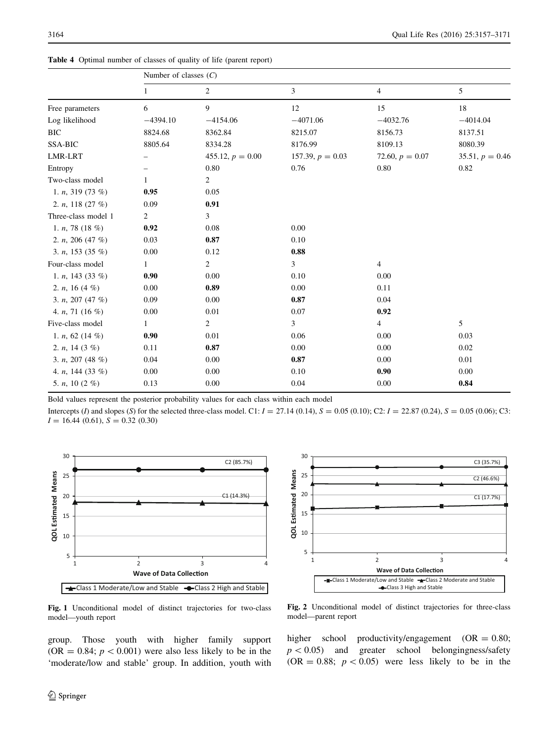|                             | Number of classes $(C)$ |                    |                    |                   |                   |  |  |  |
|-----------------------------|-------------------------|--------------------|--------------------|-------------------|-------------------|--|--|--|
|                             | $\mathbf{1}$            | $\boldsymbol{2}$   | 3                  | $\overline{4}$    | 5                 |  |  |  |
| Free parameters             | 6                       | 9                  | 12                 | 15                | 18                |  |  |  |
| Log likelihood              | $-4394.10$              | $-4154.06$         | $-4071.06$         | $-4032.76$        | $-4014.04$        |  |  |  |
| <b>BIC</b>                  | 8824.68                 | 8362.84            | 8215.07            | 8156.73           | 8137.51           |  |  |  |
| <b>SSA-BIC</b>              | 8805.64                 | 8334.28            | 8176.99            | 8109.13           | 8080.39           |  |  |  |
| LMR-LRT                     |                         | 455.12, $p = 0.00$ | 157.39, $p = 0.03$ | 72.60, $p = 0.07$ | 35.51, $p = 0.46$ |  |  |  |
| Entropy                     |                         | 0.80               | 0.76               | 0.80              | 0.82              |  |  |  |
| Two-class model             | 1                       | 2                  |                    |                   |                   |  |  |  |
| 1. n, 319 $(73\%)$          | 0.95                    | 0.05               |                    |                   |                   |  |  |  |
| 2. n, 118 $(27 \%)$         | 0.09                    | 0.91               |                    |                   |                   |  |  |  |
| Three-class model 1         | 2                       | 3                  |                    |                   |                   |  |  |  |
| 1. <i>n</i> , 78 (18 $%$ )  | 0.92                    | 0.08               | 0.00               |                   |                   |  |  |  |
| 2. n, 206 $(47 \%)$         | 0.03                    | 0.87               | 0.10               |                   |                   |  |  |  |
| 3. n, 153 (35 $\%$ )        | 0.00                    | 0.12               | 0.88               |                   |                   |  |  |  |
| Four-class model            | 1                       | 2                  | 3                  | $\overline{4}$    |                   |  |  |  |
| 1. <i>n</i> , 143 (33 $%$ ) | 0.90                    | 0.00               | 0.10               | $0.00\,$          |                   |  |  |  |
| 2. <i>n</i> , 16 (4 $%$ )   | 0.00                    | 0.89               | 0.00               | 0.11              |                   |  |  |  |
| 3. n, 207 $(47\%)$          | 0.09                    | 0.00               | 0.87               | 0.04              |                   |  |  |  |
| 4. n, 71 $(16 \%)$          | 0.00                    | 0.01               | 0.07               | 0.92              |                   |  |  |  |
| Five-class model            | 1                       | 2                  | 3                  | 4                 | 5                 |  |  |  |
| 1. <i>n</i> , 62 (14 $\%$ ) | 0.90                    | 0.01               | 0.06               | 0.00              | 0.03              |  |  |  |
| 2. <i>n</i> , 14 (3 $\%$ )  | 0.11                    | 0.87               | 0.00               | 0.00              | 0.02              |  |  |  |
| 3. n, 207 (48 $%$ )         | 0.04                    | 0.00               | 0.87               | 0.00              | 0.01              |  |  |  |
| 4. n, 144 (33 %)            | 0.00                    | 0.00               | 0.10               | 0.90              | 0.00              |  |  |  |
| 5. $n, 10$ (2 %)            | 0.13                    | 0.00               | 0.04               | 0.00              | 0.84              |  |  |  |

<span id="page-8-0"></span>Table 4 Optimal number of classes of quality of life (parent report)

Bold values represent the posterior probability values for each class within each model

Intercepts (I) and slopes (S) for the selected three-class model. C1:  $I = 27.14$  (0.14),  $S = 0.05$  (0.10); C2:  $I = 22.87$  (0.24),  $S = 0.05$  (0.06); C3:  $I = 16.44$  (0.61),  $S = 0.32$  (0.30)



Fig. 1 Unconditional model of distinct trajectories for two-class model—youth report

group. Those youth with higher family support  $(OR = 0.84; p < 0.001)$  were also less likely to be in the 'moderate/low and stable' group. In addition, youth with



Fig. 2 Unconditional model of distinct trajectories for three-class model—parent report

higher school productivity/engagement  $(OR = 0.80;$  $p < 0.05$ ) and greater school belongingness/safety  $(OR = 0.88; p < 0.05)$  were less likely to be in the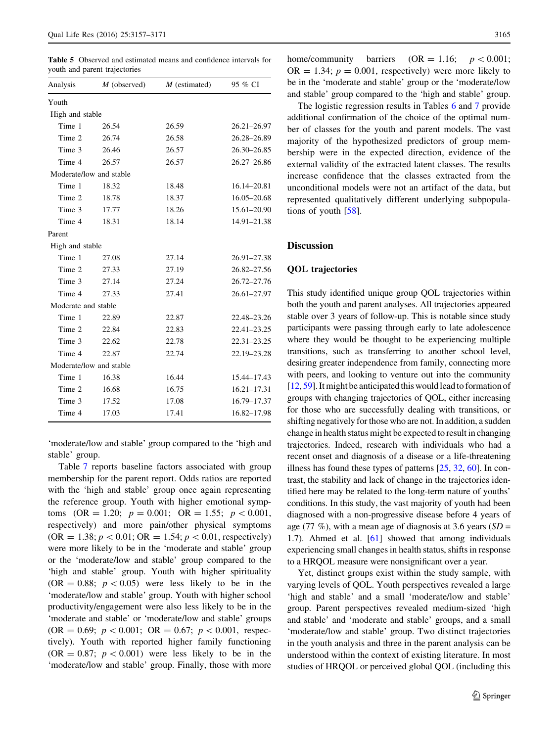<span id="page-9-0"></span>Table 5 Observed and estimated means and confidence intervals for youth and parent trajectories

| Analysis                | $M$ (observed) | $M$ (estimated) | 95 % CI         |
|-------------------------|----------------|-----------------|-----------------|
| Youth                   |                |                 |                 |
| High and stable         |                |                 |                 |
| Time 1                  | 26.54          | 26.59           | $26.21 - 26.97$ |
| Time 2                  | 26.74          | 26.58           | 26.28-26.89     |
| Time 3                  | 26.46          | 26.57           | $26.30 - 26.85$ |
| Time 4                  | 26.57          | 26.57           | $26.27 - 26.86$ |
| Moderate/low and stable |                |                 |                 |
| Time 1                  | 18.32          | 18.48           | 16.14-20.81     |
| Time 2                  | 18.78          | 18.37           | 16.05-20.68     |
| Time 3                  | 17.77          | 18.26           | 15.61-20.90     |
| Time 4                  | 18.31          | 18.14           | 14.91-21.38     |
| Parent                  |                |                 |                 |
| High and stable         |                |                 |                 |
| Time 1                  | 27.08          | 27.14           | $26.91 - 27.38$ |
| Time 2                  | 27.33          | 27.19           | 26.82-27.56     |
| Time 3                  | 27.14          | 27.24           | $26.72 - 27.76$ |
| Time 4                  | 27.33          | 27.41           | 26.61-27.97     |
| Moderate and stable     |                |                 |                 |
| Time 1                  | 22.89          | 22.87           | 22.48-23.26     |
| Time 2                  | 22.84          | 22.83           | 22.41-23.25     |
| Time 3                  | 22.62          | 22.78           | $22.31 - 23.25$ |
| Time 4                  | 22.87          | 22.74           | 22.19-23.28     |
| Moderate/low and stable |                |                 |                 |
| Time 1                  | 16.38          | 16.44           | 15.44-17.43     |
| Time 2                  | 16.68          | 16.75           | $16.21 - 17.31$ |
| Time 3                  | 17.52          | 17.08           | 16.79-17.37     |
| Time 4                  | 17.03          | 17.41           | 16.82-17.98     |

'moderate/low and stable' group compared to the 'high and stable' group.

Table [7](#page-10-0) reports baseline factors associated with group membership for the parent report. Odds ratios are reported with the 'high and stable' group once again representing the reference group. Youth with higher emotional symptoms  $(OR = 1.20; p = 0.001; OR = 1.55; p < 0.001,$ respectively) and more pain/other physical symptoms  $(OR = 1.38; p < 0.01; OR = 1.54; p < 0.01, respectively)$ were more likely to be in the 'moderate and stable' group or the 'moderate/low and stable' group compared to the 'high and stable' group. Youth with higher spirituality  $(OR = 0.88; p < 0.05)$  were less likely to be in the 'moderate/low and stable' group. Youth with higher school productivity/engagement were also less likely to be in the 'moderate and stable' or 'moderate/low and stable' groups  $(OR = 0.69; p < 0.001; OR = 0.67; p < 0.001, respectively)$ tively). Youth with reported higher family functioning  $(OR = 0.87; p < 0.001)$  were less likely to be in the 'moderate/low and stable' group. Finally, those with more

home/community barriers  $(OR = 1.16; p < 0.001;$  $OR = 1.34$ ;  $p = 0.001$ , respectively) were more likely to be in the 'moderate and stable' group or the 'moderate/low and stable' group compared to the 'high and stable' group.

The logistic regression results in Tables [6](#page-10-0) and [7](#page-10-0) provide additional confirmation of the choice of the optimal number of classes for the youth and parent models. The vast majority of the hypothesized predictors of group membership were in the expected direction, evidence of the external validity of the extracted latent classes. The results increase confidence that the classes extracted from the unconditional models were not an artifact of the data, but represented qualitatively different underlying subpopulations of youth [[58\]](#page-14-0).

# Discussion

#### QOL trajectories

This study identified unique group QOL trajectories within both the youth and parent analyses. All trajectories appeared stable over 3 years of follow-up. This is notable since study participants were passing through early to late adolescence where they would be thought to be experiencing multiple transitions, such as transferring to another school level, desiring greater independence from family, connecting more with peers, and looking to venture out into the community [\[12](#page-13-0), [59\]](#page-14-0). It might be anticipated this would lead to formation of groups with changing trajectories of QOL, either increasing for those who are successfully dealing with transitions, or shifting negatively for those who are not. In addition, a sudden change in health status might be expected to result in changing trajectories. Indeed, research with individuals who had a recent onset and diagnosis of a disease or a life-threatening illness has found these types of patterns [\[25](#page-13-0), [32,](#page-13-0) [60\]](#page-14-0). In contrast, the stability and lack of change in the trajectories identified here may be related to the long-term nature of youths' conditions. In this study, the vast majority of youth had been diagnosed with a non-progressive disease before 4 years of age (77 %), with a mean age of diagnosis at 3.6 years ( $SD =$ 1.7). Ahmed et al. [[61](#page-14-0)] showed that among individuals experiencing small changes in health status, shifts in response to a HRQOL measure were nonsignificant over a year.

Yet, distinct groups exist within the study sample, with varying levels of QOL. Youth perspectives revealed a large 'high and stable' and a small 'moderate/low and stable' group. Parent perspectives revealed medium-sized 'high and stable' and 'moderate and stable' groups, and a small 'moderate/low and stable' group. Two distinct trajectories in the youth analysis and three in the parent analysis can be understood within the context of existing literature. In most studies of HRQOL or perceived global QOL (including this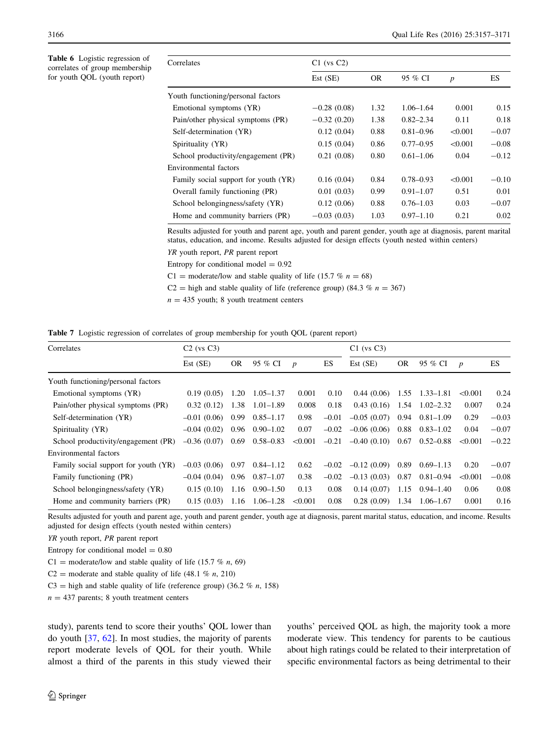<span id="page-10-0"></span>Table 6 Logistic regression of correlates of group membership for youth QOL (youth report)

| Correlates                           | $C1$ (vs $C2$ ) |           |               |                  |         |  |  |  |
|--------------------------------------|-----------------|-----------|---------------|------------------|---------|--|--|--|
|                                      | Est(SE)         | <b>OR</b> | 95 % CI       | $\boldsymbol{p}$ | ES      |  |  |  |
| Youth functioning/personal factors   |                 |           |               |                  |         |  |  |  |
| Emotional symptoms (YR)              | $-0.28(0.08)$   | 1.32      | $1.06 - 1.64$ | 0.001            | 0.15    |  |  |  |
| Pain/other physical symptoms (PR)    | $-0.32(0.20)$   | 1.38      | $0.82 - 2.34$ | 0.11             | 0.18    |  |  |  |
| Self-determination (YR)              | 0.12(0.04)      | 0.88      | $0.81 - 0.96$ | < 0.001          | $-0.07$ |  |  |  |
| Spirituality (YR)                    | 0.15(0.04)      | 0.86      | $0.77 - 0.95$ | < 0.001          | $-0.08$ |  |  |  |
| School productivity/engagement (PR)  | 0.21(0.08)      | 0.80      | $0.61 - 1.06$ | 0.04             | $-0.12$ |  |  |  |
| Environmental factors                |                 |           |               |                  |         |  |  |  |
| Family social support for youth (YR) | 0.16(0.04)      | 0.84      | $0.78 - 0.93$ | < 0.001          | $-0.10$ |  |  |  |
| Overall family functioning (PR)      | 0.01(0.03)      | 0.99      | $0.91 - 1.07$ | 0.51             | 0.01    |  |  |  |
| School belongingness/safety (YR)     | 0.12(0.06)      | 0.88      | $0.76 - 1.03$ | 0.03             | $-0.07$ |  |  |  |
| Home and community barriers (PR)     | $-0.03(0.03)$   | 1.03      | $0.97 - 1.10$ | 0.21             | 0.02    |  |  |  |

Results adjusted for youth and parent age, youth and parent gender, youth age at diagnosis, parent marital status, education, and income. Results adjusted for design effects (youth nested within centers)

YR youth report, PR parent report

Entropy for conditional model  $= 0.92$ 

C1 = moderate/low and stable quality of life (15.7 %  $n = 68$ )

C2 = high and stable quality of life (reference group) (84.3 %  $n = 367$ )

 $n = 435$  youth; 8 youth treatment centers

Table 7 Logistic regression of correlates of group membership for youth QOL (parent report)

| Correlates                           | $C2$ (vs $C3$ )              |           |                          |                  | $C1$ (vs $C3$ ) |                              |      |                          |                  |         |
|--------------------------------------|------------------------------|-----------|--------------------------|------------------|-----------------|------------------------------|------|--------------------------|------------------|---------|
|                                      | Est(SE)                      | <b>OR</b> | 95 % CI                  | $\boldsymbol{p}$ | ES              | Est(SE)                      | OR.  | 95 % CI                  | $\boldsymbol{p}$ | ES      |
| Youth functioning/personal factors   |                              |           |                          |                  |                 |                              |      |                          |                  |         |
| Emotional symptoms (YR)              | 0.19(0.05)                   | 1.20      | $1.05 - 1.37$            | 0.001            | 0.10            | $0.44(0.06)$ 1.55            |      | 1.33–1.81                | < 0.001          | 0.24    |
| Pain/other physical symptoms (PR)    | $0.32(0.12)$ 1.38            |           | $1.01 - 1.89$            | 0.008            | 0.18            | $0.43(0.16)$ 1.54 1.02-2.32  |      |                          | 0.007            | 0.24    |
| Self-determination (YR)              | $-0.01(0.06)$                | 0.99      | $0.85 - 1.17$            | 0.98             | $-0.01$         | $-0.05(0.07)$ 0.94           |      | $0.81 - 1.09$            | 0.29             | $-0.03$ |
| Spirituality (YR)                    | $-0.04(0.02)$                | 0.96      | $0.90 - 1.02$            | 0.07             | $-0.02$         | $-0.06(0.06)$ 0.88           |      | $0.83 - 1.02$            | 0.04             | $-0.07$ |
| School productivity/engagement (PR)  | $-0.36(0.07)$ 0.69           |           | $0.58 - 0.83$            | < 0.001          | $-0.21$         | $-0.40(0.10)$ 0.67 0.52-0.88 |      |                          | < 0.001          | $-0.22$ |
| Environmental factors                |                              |           |                          |                  |                 |                              |      |                          |                  |         |
| Family social support for youth (YR) | $-0.03(0.06)$                | 0.97      | $0.84 - 1.12$            | 0.62             | $-0.02$         | $-0.12(0.09)$                | 0.89 | $0.69 - 1.13$            | 0.20             | $-0.07$ |
| Family functioning (PR)              | $-0.04(0.04)$ 0.96 0.87-1.07 |           |                          | 0.38             | $-0.02$         | $-0.13(0.03)$ 0.87           |      | $0.81 - 0.94$            | < 0.001          | $-0.08$ |
| School belongingness/safety (YR)     | 0.15(0.10)                   |           | $1.16 \quad 0.90 - 1.50$ | 0.13             | 0.08            | 0.14(0.07)                   |      | $1.15 \quad 0.94 - 1.40$ | 0.06             | 0.08    |
| Home and community barriers (PR)     | $0.15(0.03)$ 1.16            |           | $1.06 - 1.28$            | < 0.001          | 0.08            | 0.28(0.09)                   |      | $1.34$ $1.06 - 1.67$     | 0.001            | 0.16    |

Results adjusted for youth and parent age, youth and parent gender, youth age at diagnosis, parent marital status, education, and income. Results adjusted for design effects (youth nested within centers)

YR youth report, PR parent report

Entropy for conditional model  $= 0.80$ 

C1 = moderate/low and stable quality of life (15.7 % n, 69)

C2 = moderate and stable quality of life (48.1 % n, 210)

C3 = high and stable quality of life (reference group) (36.2 % n, 158)

 $n = 437$  parents; 8 youth treatment centers

study), parents tend to score their youths' QOL lower than do youth [[37,](#page-14-0) [62](#page-14-0)]. In most studies, the majority of parents report moderate levels of QOL for their youth. While almost a third of the parents in this study viewed their youths' perceived QOL as high, the majority took a more moderate view. This tendency for parents to be cautious about high ratings could be related to their interpretation of specific environmental factors as being detrimental to their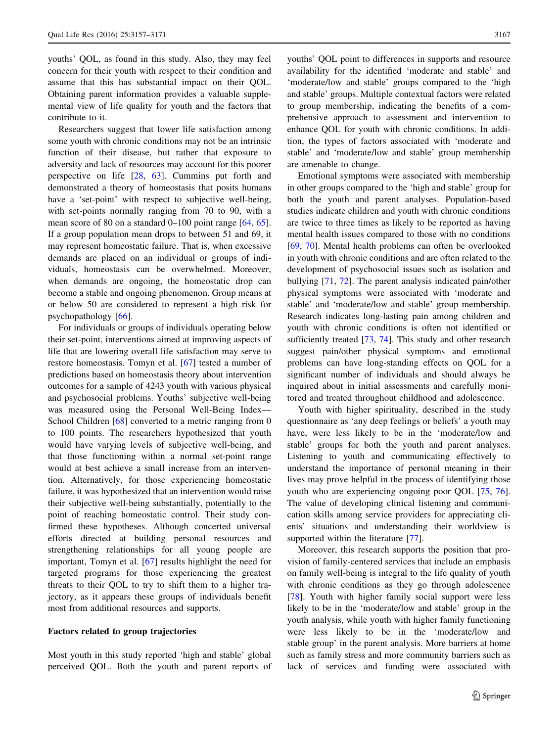youths' QOL, as found in this study. Also, they may feel concern for their youth with respect to their condition and assume that this has substantial impact on their QOL. Obtaining parent information provides a valuable supplemental view of life quality for youth and the factors that contribute to it.

Researchers suggest that lower life satisfaction among some youth with chronic conditions may not be an intrinsic function of their disease, but rather that exposure to adversity and lack of resources may account for this poorer perspective on life [[28,](#page-13-0) [63\]](#page-14-0). Cummins put forth and demonstrated a theory of homeostasis that posits humans have a 'set-point' with respect to subjective well-being, with set-points normally ranging from 70 to 90, with a mean score of 80 on a standard 0–100 point range [\[64](#page-14-0), [65](#page-14-0)]. If a group population mean drops to between 51 and 69, it may represent homeostatic failure. That is, when excessive demands are placed on an individual or groups of individuals, homeostasis can be overwhelmed. Moreover, when demands are ongoing, the homeostatic drop can become a stable and ongoing phenomenon. Group means at or below 50 are considered to represent a high risk for psychopathology [[66\]](#page-14-0).

For individuals or groups of individuals operating below their set-point, interventions aimed at improving aspects of life that are lowering overall life satisfaction may serve to restore homeostasis. Tomyn et al. [[67\]](#page-14-0) tested a number of predictions based on homeostasis theory about intervention outcomes for a sample of 4243 youth with various physical and psychosocial problems. Youths' subjective well-being was measured using the Personal Well-Being Index— School Children [[68\]](#page-14-0) converted to a metric ranging from 0 to 100 points. The researchers hypothesized that youth would have varying levels of subjective well-being, and that those functioning within a normal set-point range would at best achieve a small increase from an intervention. Alternatively, for those experiencing homeostatic failure, it was hypothesized that an intervention would raise their subjective well-being substantially, potentially to the point of reaching homeostatic control. Their study confirmed these hypotheses. Although concerted universal efforts directed at building personal resources and strengthening relationships for all young people are important, Tomyn et al. [[67\]](#page-14-0) results highlight the need for targeted programs for those experiencing the greatest threats to their QOL to try to shift them to a higher trajectory, as it appears these groups of individuals benefit most from additional resources and supports.

# Factors related to group trajectories

Most youth in this study reported 'high and stable' global perceived QOL. Both the youth and parent reports of youths' QOL point to differences in supports and resource availability for the identified 'moderate and stable' and 'moderate/low and stable' groups compared to the 'high and stable' groups. Multiple contextual factors were related to group membership, indicating the benefits of a comprehensive approach to assessment and intervention to enhance QOL for youth with chronic conditions. In addition, the types of factors associated with 'moderate and stable' and 'moderate/low and stable' group membership are amenable to change.

Emotional symptoms were associated with membership in other groups compared to the 'high and stable' group for both the youth and parent analyses. Population-based studies indicate children and youth with chronic conditions are twice to three times as likely to be reported as having mental health issues compared to those with no conditions [\[69](#page-14-0), [70](#page-14-0)]. Mental health problems can often be overlooked in youth with chronic conditions and are often related to the development of psychosocial issues such as isolation and bullying [\[71](#page-14-0), [72\]](#page-14-0). The parent analysis indicated pain/other physical symptoms were associated with 'moderate and stable' and 'moderate/low and stable' group membership. Research indicates long-lasting pain among children and youth with chronic conditions is often not identified or sufficiently treated [\[73](#page-14-0), [74](#page-15-0)]. This study and other research suggest pain/other physical symptoms and emotional problems can have long-standing effects on QOL for a significant number of individuals and should always be inquired about in initial assessments and carefully monitored and treated throughout childhood and adolescence.

Youth with higher spirituality, described in the study questionnaire as 'any deep feelings or beliefs' a youth may have, were less likely to be in the 'moderate/low and stable' groups for both the youth and parent analyses. Listening to youth and communicating effectively to understand the importance of personal meaning in their lives may prove helpful in the process of identifying those youth who are experiencing ongoing poor QOL [\[75](#page-15-0), [76](#page-15-0)]. The value of developing clinical listening and communication skills among service providers for appreciating clients' situations and understanding their worldview is supported within the literature [\[77](#page-15-0)].

Moreover, this research supports the position that provision of family-centered services that include an emphasis on family well-being is integral to the life quality of youth with chronic conditions as they go through adolescence [\[78](#page-15-0)]. Youth with higher family social support were less likely to be in the 'moderate/low and stable' group in the youth analysis, while youth with higher family functioning were less likely to be in the 'moderate/low and stable group' in the parent analysis. More barriers at home such as family stress and more community barriers such as lack of services and funding were associated with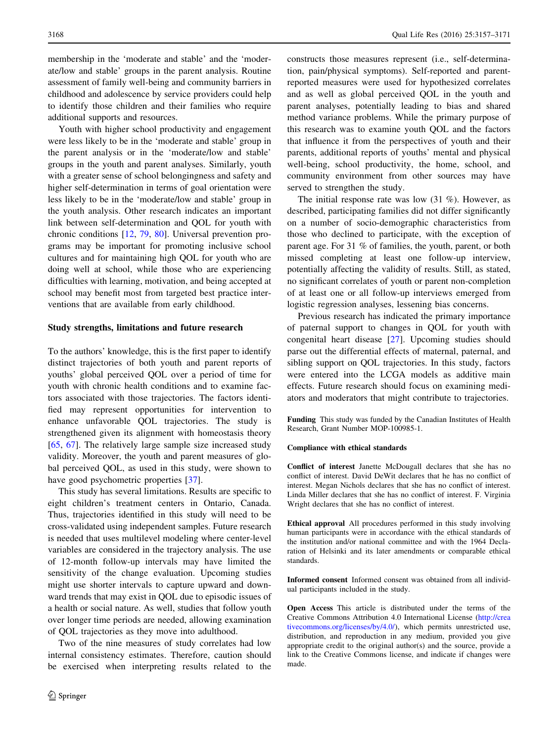membership in the 'moderate and stable' and the 'moderate/low and stable' groups in the parent analysis. Routine assessment of family well-being and community barriers in childhood and adolescence by service providers could help to identify those children and their families who require additional supports and resources.

Youth with higher school productivity and engagement were less likely to be in the 'moderate and stable' group in the parent analysis or in the 'moderate/low and stable' groups in the youth and parent analyses. Similarly, youth with a greater sense of school belongingness and safety and higher self-determination in terms of goal orientation were less likely to be in the 'moderate/low and stable' group in the youth analysis. Other research indicates an important link between self-determination and QOL for youth with chronic conditions [[12,](#page-13-0) [79,](#page-15-0) [80\]](#page-15-0). Universal prevention programs may be important for promoting inclusive school cultures and for maintaining high QOL for youth who are doing well at school, while those who are experiencing difficulties with learning, motivation, and being accepted at school may benefit most from targeted best practice interventions that are available from early childhood.

#### Study strengths, limitations and future research

To the authors' knowledge, this is the first paper to identify distinct trajectories of both youth and parent reports of youths' global perceived QOL over a period of time for youth with chronic health conditions and to examine factors associated with those trajectories. The factors identified may represent opportunities for intervention to enhance unfavorable QOL trajectories. The study is strengthened given its alignment with homeostasis theory [\[65](#page-14-0), [67\]](#page-14-0). The relatively large sample size increased study validity. Moreover, the youth and parent measures of global perceived QOL, as used in this study, were shown to have good psychometric properties [[37\]](#page-14-0).

This study has several limitations. Results are specific to eight children's treatment centers in Ontario, Canada. Thus, trajectories identified in this study will need to be cross-validated using independent samples. Future research is needed that uses multilevel modeling where center-level variables are considered in the trajectory analysis. The use of 12-month follow-up intervals may have limited the sensitivity of the change evaluation. Upcoming studies might use shorter intervals to capture upward and downward trends that may exist in QOL due to episodic issues of a health or social nature. As well, studies that follow youth over longer time periods are needed, allowing examination of QOL trajectories as they move into adulthood.

Two of the nine measures of study correlates had low internal consistency estimates. Therefore, caution should be exercised when interpreting results related to the constructs those measures represent (i.e., self-determination, pain/physical symptoms). Self-reported and parentreported measures were used for hypothesized correlates and as well as global perceived QOL in the youth and parent analyses, potentially leading to bias and shared method variance problems. While the primary purpose of this research was to examine youth QOL and the factors that influence it from the perspectives of youth and their parents, additional reports of youths' mental and physical well-being, school productivity, the home, school, and community environment from other sources may have served to strengthen the study.

The initial response rate was low (31 %). However, as described, participating families did not differ significantly on a number of socio-demographic characteristics from those who declined to participate, with the exception of parent age. For 31 % of families, the youth, parent, or both missed completing at least one follow-up interview, potentially affecting the validity of results. Still, as stated, no significant correlates of youth or parent non-completion of at least one or all follow-up interviews emerged from logistic regression analyses, lessening bias concerns.

Previous research has indicated the primary importance of paternal support to changes in QOL for youth with congenital heart disease [\[27](#page-13-0)]. Upcoming studies should parse out the differential effects of maternal, paternal, and sibling support on QOL trajectories. In this study, factors were entered into the LCGA models as additive main effects. Future research should focus on examining mediators and moderators that might contribute to trajectories.

Funding This study was funded by the Canadian Institutes of Health Research, Grant Number MOP-100985-1.

#### Compliance with ethical standards

Conflict of interest Janette McDougall declares that she has no conflict of interest. David DeWit declares that he has no conflict of interest. Megan Nichols declares that she has no conflict of interest. Linda Miller declares that she has no conflict of interest. F. Virginia Wright declares that she has no conflict of interest.

Ethical approval All procedures performed in this study involving human participants were in accordance with the ethical standards of the institution and/or national committee and with the 1964 Declaration of Helsinki and its later amendments or comparable ethical standards.

Informed consent Informed consent was obtained from all individual participants included in the study.

Open Access This article is distributed under the terms of the Creative Commons Attribution 4.0 International License ([http://crea](http://creativecommons.org/licenses/by/4.0/) [tivecommons.org/licenses/by/4.0/\)](http://creativecommons.org/licenses/by/4.0/), which permits unrestricted use, distribution, and reproduction in any medium, provided you give appropriate credit to the original author(s) and the source, provide a link to the Creative Commons license, and indicate if changes were made.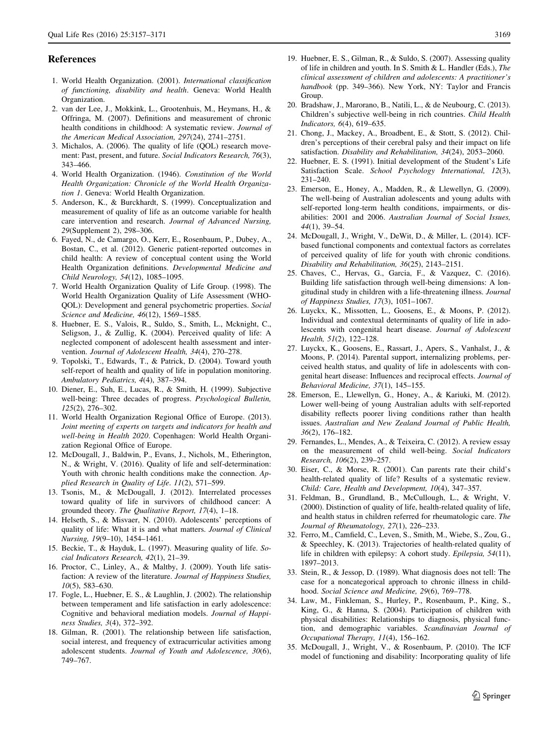## <span id="page-13-0"></span>References

- 1. World Health Organization. (2001). International classification of functioning, disability and health. Geneva: World Health Organization.
- 2. van der Lee, J., Mokkink, L., Grootenhuis, M., Heymans, H., & Offringa, M. (2007). Definitions and measurement of chronic health conditions in childhood: A systematic review. Journal of the American Medical Association, 297(24), 2741–2751.
- 3. Michalos, A. (2006). The quality of life (QOL) research movement: Past, present, and future. Social Indicators Research, 76(3), 343–466.
- 4. World Health Organization. (1946). Constitution of the World Health Organization: Chronicle of the World Health Organization 1. Geneva: World Health Organization.
- 5. Anderson, K., & Burckhardt, S. (1999). Conceptualization and measurement of quality of life as an outcome variable for health care intervention and research. Journal of Advanced Nursing, 29(Supplement 2), 298–306.
- 6. Fayed, N., de Camargo, O., Kerr, E., Rosenbaum, P., Dubey, A., Bostan, C., et al. (2012). Generic patient-reported outcomes in child health: A review of conceptual content using the World Health Organization definitions. Developmental Medicine and Child Neurology, 54(12), 1085–1095.
- 7. World Health Organization Quality of Life Group. (1998). The World Health Organization Quality of Life Assessment (WHO-QOL): Development and general psychometric properties. Social Science and Medicine, 46(12), 1569–1585.
- 8. Huebner, E. S., Valois, R., Suldo, S., Smith, L., Mcknight, C., Seligson, J., & Zullig, K. (2004). Perceived quality of life: A neglected component of adolescent health assessment and intervention. Journal of Adolescent Health, 34(4), 270–278.
- 9. Topolski, T., Edwards, T., & Patrick, D. (2004). Toward youth self-report of health and quality of life in population monitoring. Ambulatory Pediatrics, 4(4), 387–394.
- 10. Diener, E., Suh, E., Lucas, R., & Smith, H. (1999). Subjective well-being: Three decades of progress. Psychological Bulletin, 125(2), 276–302.
- 11. World Health Organization Regional Office of Europe. (2013). Joint meeting of experts on targets and indicators for health and well-being in Health 2020. Copenhagen: World Health Organization Regional Office of Europe.
- 12. McDougall, J., Baldwin, P., Evans, J., Nichols, M., Etherington, N., & Wright, V. (2016). Quality of life and self-determination: Youth with chronic health conditions make the connection. Applied Research in Quality of Life. 11(2), 571–599.
- 13. Tsonis, M., & McDougall, J. (2012). Interrelated processes toward quality of life in survivors of childhood cancer: A grounded theory. The Qualitative Report, 17(4), 1–18.
- 14. Helseth, S., & Misvaer, N. (2010). Adolescents' perceptions of quality of life: What it is and what matters. Journal of Clinical Nursing, 19(9–10), 1454–1461.
- 15. Beckie, T., & Hayduk, L. (1997). Measuring quality of life. Social Indicators Research, 42(1), 21–39.
- 16. Proctor, C., Linley, A., & Maltby, J. (2009). Youth life satisfaction: A review of the literature. Journal of Happiness Studies, 10(5), 583–630.
- 17. Fogle, L., Huebner, E. S., & Laughlin, J. (2002). The relationship between temperament and life satisfaction in early adolescence: Cognitive and behavioral mediation models. Journal of Happiness Studies, 3(4), 372–392.
- 18. Gilman, R. (2001). The relationship between life satisfaction, social interest, and frequency of extracurricular activities among adolescent students. Journal of Youth and Adolescence, 30(6), 749–767.
- 19. Huebner, E. S., Gilman, R., & Suldo, S. (2007). Assessing quality of life in children and youth. In S. Smith & L. Handler (Eds.), The clinical assessment of children and adolescents: A practitioner's handbook (pp. 349–366). New York, NY: Taylor and Francis Group.
- 20. Bradshaw, J., Marorano, B., Natili, L., & de Neubourg, C. (2013). Children's subjective well-being in rich countries. Child Health Indicators, 6(4), 619–635.
- 21. Chong, J., Mackey, A., Broadbent, E., & Stott, S. (2012). Children's perceptions of their cerebral palsy and their impact on life satisfaction. Disability and Rehabilitation, 34(24), 2053–2060.
- 22. Huebner, E. S. (1991). Initial development of the Student's Life Satisfaction Scale. School Psychology International, 12(3), 231–240.
- 23. Emerson, E., Honey, A., Madden, R., & Llewellyn, G. (2009). The well-being of Australian adolescents and young adults with self-reported long-term health conditions, impairments, or disabilities: 2001 and 2006. Australian Journal of Social Issues, 44(1), 39–54.
- 24. McDougall, J., Wright, V., DeWit, D., & Miller, L. (2014). ICFbased functional components and contextual factors as correlates of perceived quality of life for youth with chronic conditions. Disability and Rehabilitation, 36(25), 2143–2151.
- 25. Chaves, C., Hervas, G., Garcia, F., & Vazquez, C. (2016). Building life satisfaction through well-being dimensions: A longitudinal study in children with a life-threatening illness. Journal of Happiness Studies, 17(3), 1051–1067.
- 26. Luyckx, K., Missotten, L., Goosens, E., & Moons, P. (2012). Individual and contextual determinants of quality of life in adolescents with congenital heart disease. Journal of Adolescent Health, 51(2), 122–128.
- 27. Luyckx, K., Goosens, E., Rassart, J., Apers, S., Vanhalst, J., & Moons, P. (2014). Parental support, internalizing problems, perceived health status, and quality of life in adolescents with congenital heart disease: Influences and reciprocal effects. Journal of Behavioral Medicine, 37(1), 145–155.
- 28. Emerson, E., Llewellyn, G., Honey, A., & Kariuki, M. (2012). Lower well-being of young Australian adults with self-reported disability reflects poorer living conditions rather than health issues. Australian and New Zealand Journal of Public Health, 36(2), 176–182.
- 29. Fernandes, L., Mendes, A., & Teixeira, C. (2012). A review essay on the measurement of child well-being. Social Indicators Research, 106(2), 239–257.
- 30. Eiser, C., & Morse, R. (2001). Can parents rate their child's health-related quality of life? Results of a systematic review. Child: Care, Health and Development, 10(4), 347–357.
- 31. Feldman, B., Grundland, B., McCullough, L., & Wright, V. (2000). Distinction of quality of life, health-related quality of life, and health status in children referred for rheumatologic care. The Journal of Rheumatology, 27(1), 226–233.
- 32. Ferro, M., Camfield, C., Leven, S., Smith, M., Wiebe, S., Zou, G., & Speechley, K. (2013). Trajectories of health-related quality of life in children with epilepsy: A cohort study. Epilepsia, 54(11), 1897–2013.
- 33. Stein, R., & Jessop, D. (1989). What diagnosis does not tell: The case for a noncategorical approach to chronic illness in childhood. Social Science and Medicine, 29(6), 769-778.
- 34. Law, M., Finkleman, S., Hurley, P., Rosenbaum, P., King, S., King, G., & Hanna, S. (2004). Participation of children with physical disabilities: Relationships to diagnosis, physical function, and demographic variables. Scandinavian Journal of Occupational Therapy, 11(4), 156–162.
- 35. McDougall, J., Wright, V., & Rosenbaum, P. (2010). The ICF model of functioning and disability: Incorporating quality of life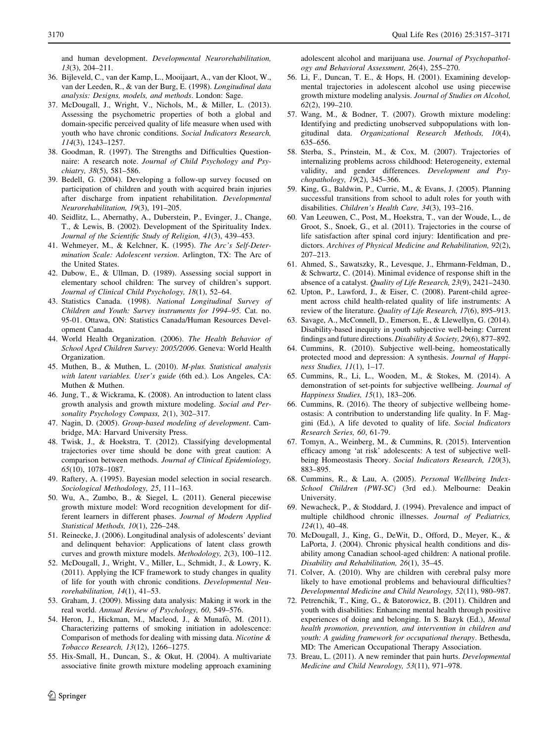<span id="page-14-0"></span>and human development. Developmental Neurorehabilitation, 13(3), 204–211.

- 36. Bijleveld, C., van der Kamp, L., Mooijaart, A., van der Kloot, W., van der Leeden, R., & van der Burg, E. (1998). Longitudinal data analysis: Designs, models, and methods. London: Sage.
- 37. McDougall, J., Wright, V., Nichols, M., & Miller, L. (2013). Assessing the psychometric properties of both a global and domain-specific perceived quality of life measure when used with youth who have chronic conditions. Social Indicators Research, 114(3), 1243–1257.
- 38. Goodman, R. (1997). The Strengths and Difficulties Questionnaire: A research note. Journal of Child Psychology and Psychiatry, 38(5), 581–586.
- 39. Bedell, G. (2004). Developing a follow-up survey focused on participation of children and youth with acquired brain injuries after discharge from inpatient rehabilitation. Developmental Neurorehabilitation, 19(3), 191–205.
- 40. Seidlitz, L., Abernathy, A., Duberstein, P., Evinger, J., Change, T., & Lewis, B. (2002). Development of the Spirituality Index. Journal of the Scientific Study of Religion, 41(3), 439–453.
- 41. Wehmeyer, M., & Kelchner, K. (1995). The Arc's Self-Determination Scale: Adolescent version. Arlington, TX: The Arc of the United States.
- 42. Dubow, E., & Ullman, D. (1989). Assessing social support in elementary school children: The survey of children's support. Journal of Clinical Child Psychology, 18(1), 52–64.
- 43. Statistics Canada. (1998). National Longitudinal Survey of Children and Youth: Survey instruments for 1994–95. Cat. no. 95-01. Ottawa, ON: Statistics Canada/Human Resources Development Canada.
- 44. World Health Organization. (2006). The Health Behavior of School Aged Children Survey: 2005/2006. Geneva: World Health Organization.
- 45. Muthen, B., & Muthen, L. (2010). M-plus. Statistical analysis with latent variables. User's guide (6th ed.). Los Angeles, CA: Muthen & Muthen.
- 46. Jung, T., & Wickrama, K. (2008). An introduction to latent class growth analysis and growth mixture modeling. Social and Personality Psychology Compass, 2(1), 302–317.
- 47. Nagin, D. (2005). Group-based modeling of development. Cambridge, MA: Harvard University Press.
- 48. Twisk, J., & Hoekstra, T. (2012). Classifying developmental trajectories over time should be done with great caution: A comparison between methods. Journal of Clinical Epidemiology, 65(10), 1078–1087.
- 49. Raftery, A. (1995). Bayesian model selection in social research. Sociological Methodology, 25, 111–163.
- 50. Wu, A., Zumbo, B., & Siegel, L. (2011). General piecewise growth mixture model: Word recognition development for different learners in different phases. Journal of Modern Applied Statistical Methods, 10(1), 226-248.
- 51. Reinecke, J. (2006). Longitudinal analysis of adolescents' deviant and delinquent behavior: Applications of latent class growth curves and growth mixture models. Methodology, 2(3), 100–112.
- 52. McDougall, J., Wright, V., Miller, L., Schmidt, J., & Lowry, K. (2011). Applying the ICF framework to study changes in quality of life for youth with chronic conditions. Developmental Neurorehabilitation, 14(1), 41–53.
- 53. Graham, J. (2009). Missing data analysis: Making it work in the real world. Annual Review of Psychology, 60, 549–576.
- 54. Heron, J., Hickman, M., Macleod, J., & Munafò, M. (2011). Characterizing patterns of smoking initiation in adolescence: Comparison of methods for dealing with missing data. Nicotine & Tobacco Research, 13(12), 1266–1275.
- 55. Hix-Small, H., Duncan, S., & Okut, H. (2004). A multivariate associative finite growth mixture modeling approach examining

adolescent alcohol and marijuana use. Journal of Psychopathology and Behavioral Assessment, 26(4), 255–270.

- 56. Li, F., Duncan, T. E., & Hops, H. (2001). Examining developmental trajectories in adolescent alcohol use using piecewise growth mixture modeling analysis. Journal of Studies on Alcohol, 62(2), 199–210.
- 57. Wang, M., & Bodner, T. (2007). Growth mixture modeling: Identifying and predicting unobserved subpopulations with longitudinal data. Organizational Research Methods, 10(4), 635–656.
- 58. Sterba, S., Prinstein, M., & Cox, M. (2007). Trajectories of internalizing problems across childhood: Heterogeneity, external validity, and gender differences. Development and Psychopathology, 19(2), 345–366.
- 59. King, G., Baldwin, P., Currie, M., & Evans, J. (2005). Planning successful transitions from school to adult roles for youth with disabilities. Children's Health Care, 34(3), 193–216.
- 60. Van Leeuwen, C., Post, M., Hoekstra, T., van der Woude, L., de Groot, S., Snoek, G., et al. (2011). Trajectories in the course of life satisfaction after spinal cord injury: Identification and predictors. Archives of Physical Medicine and Rehabilitation, 92(2), 207–213.
- 61. Ahmed, S., Sawatszky, R., Levesque, J., Ehrmann-Feldman, D., & Schwartz, C. (2014). Minimal evidence of response shift in the absence of a catalyst. Quality of Life Research, 23(9), 2421–2430.
- 62. Upton, P., Lawford, J., & Eiser, C. (2008). Parent-child agreement across child health-related quality of life instruments: A review of the literature. Quality of Life Research, 17(6), 895-913.
- 63. Savage, A., McConnell, D., Emerson, E., & Llewellyn, G. (2014). Disability-based inequity in youth subjective well-being: Current findings and future directions. Disability & Society, 29(6), 877–892.
- 64. Cummins, R. (2010). Subjective well-being, homeostatically protected mood and depression: A synthesis. Journal of Happiness Studies, 11(1), 1–17.
- 65. Cummins, R., Li, L., Wooden, M., & Stokes, M. (2014). A demonstration of set-points for subjective wellbeing. Journal of Happiness Studies, 15(1), 183–206.
- 66. Cummins, R. (2016). The theory of subjective wellbeing homeostasis: A contribution to understanding life quality. In F. Maggini (Ed.), A life devoted to quality of life. Social Indicators Research Series, 60, 61-79.
- 67. Tomyn, A., Weinberg, M., & Cummins, R. (2015). Intervention efficacy among 'at risk' adolescents: A test of subjective wellbeing Homeostasis Theory. Social Indicators Research, 120(3), 883–895.
- 68. Cummins, R., & Lau, A. (2005). Personal Wellbeing Index-School Children (PWI-SC) (3rd ed.). Melbourne: Deakin University.
- 69. Newacheck, P., & Stoddard, J. (1994). Prevalence and impact of multiple childhood chronic illnesses. Journal of Pediatrics, 124(1), 40–48.
- 70. McDougall, J., King, G., DeWit, D., Offord, D., Meyer, K., & LaPorta, J. (2004). Chronic physical health conditions and disability among Canadian school-aged children: A national profile. Disability and Rehabilitation, 26(1), 35–45.
- 71. Colver, A. (2010). Why are children with cerebral palsy more likely to have emotional problems and behavioural difficulties? Developmental Medicine and Child Neurology, 52(11), 980–987.
- 72. Petrenchik, T., King, G., & Batorowicz, B. (2011). Children and youth with disabilities: Enhancing mental health through positive experiences of doing and belonging. In S. Bazyk (Ed.), Mental health promotion, prevention, and intervention in children and youth: A guiding framework for occupational therapy. Bethesda, MD: The American Occupational Therapy Association.
- 73. Breau, L. (2011). A new reminder that pain hurts. Developmental Medicine and Child Neurology, 53(11), 971–978.